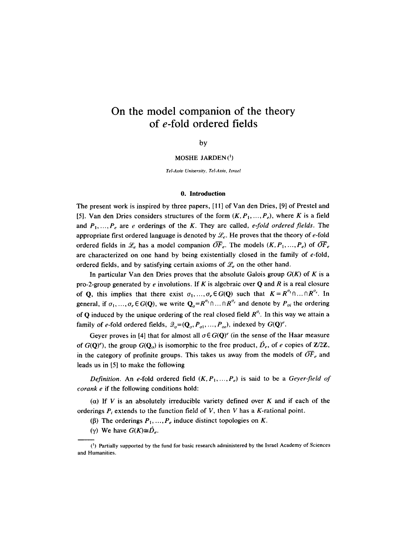# **On the model companion of the theory of e-fold ordered fields**

by

**MOSHE JARDEN**<sup>(1</sup>)

*Tel-Aviv University, Tel-Aoio, Israel* 

#### 0. **Introduction**

The present work is inspired by three papers, [! I] of Van den Dries, [9] of Prestel and [5]. Van den Dries considers structures of the form  $(K, P_1, \ldots, P_e)$ , where K is a field and  $P_1, ..., P_e$  are *e* orderings of the K. They are called, *e-fold ordered fields*. The appropriate first ordered language is denoted by  $\mathcal{L}_{e}$ . He proves that the theory of e-fold ordered fields in  $\mathcal{L}_e$  has a model companion  $\overline{OF}_e$ . The models  $(K, P_1, ..., P_e)$  of  $\overline{OF}_e$ are characterized on one hand by being existentially closed in the family of e-fold, ordered fields, and by satisfying certain axioms of  $\mathcal{L}_{e}$  on the other hand.

In particular Van den Dries proves that the absolute Galois group  $G(K)$  of K is a pro-2-group generated by e involutions. If K is algebraic over Q and R is a real closure of Q, this implies that there exist  $\sigma_1, ..., \sigma_e \in G(Q)$  such that  $K = R^{\sigma_1} \cap ... \cap R^{\sigma_r}$ . In general, if  $\sigma_1, ..., \sigma_e \in G(Q)$ , we write  $Q_\sigma = R^{\sigma_1} \cap ... \cap R^{\sigma_e}$  and denote by  $P_{\sigma_i}$  the ordering of Q induced by the unique ordering of the real closed field  $R^{\sigma_i}$ . In this way we attain a family of e-fold ordered fields,  $\mathcal{Q}_{\sigma} = (\mathbf{Q}_{\sigma}, P_{\sigma 1}, ..., P_{\sigma r})$ , indexed by  $G(\mathbf{Q})^c$ .

Geyer proves in [4] that for almost all  $\sigma \in G(\mathbf{Q})^e$  (in the sense of the Haar measure of  $G(Q)^e$ , the group  $G(Q_o)$  is isomorphic to the free product,  $\hat{D}_e$ , of e copies of **Z**/2**Z**, in the category of profinite groups. This takes us away from the models of  $\overline{OF}_e$  and leads us in [5] to make the following

*Definition.* An e-fold ordered field  $(K, P_1, ..., P_e)$  is said to be a *Geyer-field of corank e* if the following conditions hold:

(a) If V is an absolutely irreducible variety defined over K and if each of the orderings  $P_i$  extends to the function field of V, then V has a K-rational point.

- ( $\beta$ ) The orderings  $P_1, ..., P_e$  induce distinct topologies on K.
- (γ) We have  $G(K) \cong \hat{D}_e$ .

<sup>(~)</sup> Partially supported by the fund for basic research administered by the Israel Academy of Sciences and Humanities.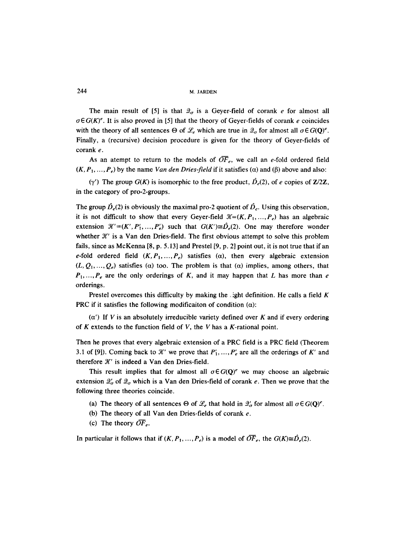244 M, JARDEN

The main result of [5] is that  $\mathcal{Q}_{\sigma}$  is a Geyer-field of corank e for almost all  $\sigma \in G(K)^e$ . It is also proved in [5] that the theory of Geyer-fields of corank e coincides with the theory of all sentences  $\Theta$  of  $\mathcal{L}_e$  which are true in  $\mathcal{Q}_q$  for almost all  $\sigma \in G(\mathbf{Q})^e$ . Finally, a (recursive) decision procedure is given for the theory of Geyer-fields of corank e.

As an atempt to return to the models of  $\overline{OF}_e$ , we call an e-fold ordered field  $(K, P_1, \ldots, P_e)$  by the name *Van den Dries-field* if it satisfies ( $\alpha$ ) and ( $\beta$ ) above and also:

(y') The group  $G(K)$  is isomorphic to the free product,  $\hat{D}_e(2)$ , of e copies of  $\mathbb{Z}/2\mathbb{Z}$ , in the category of pro-2-groups.

The group  $\hat{D}_e(2)$  is obviously the maximal pro-2 quotient of  $\hat{D}_e$ . Using this observation, it is not difficult to show that every Geyer-field  $\mathcal{K}=(K, P_1, \ldots, P_r)$  has an algebraic extension  $\mathcal{X}'=(K',P'_1,\ldots,P'_e)$  such that  $G(K')\cong \hat{D}_e(2)$ . One may therefore wonder whether  $\mathcal{K}'$  is a Van den Dries-field. The first obvious attempt to solve this problem fails, since as McKenna [8, p. 5.13] and Prestel [9, p. 2] point out, it is not true that if an e-fold ordered field  $(K, P_1, ..., P_e)$  satisfies  $(\alpha)$ , then every algebraic extension  $(L, Q_1, \ldots, Q_e)$  satisfies ( $\alpha$ ) too. The problem is that ( $\alpha$ ) implies, among others, that  $P_1, ..., P_e$  are the only orderings of K, and it may happen that L has more than e orderings.

Prestel overcomes this difficulty by making the , ight definition. He calls a field  $K$ PRC if it satisfies the following modificaiton of condition  $(\alpha)$ :

 $(\alpha')$  If V is an absolutely irreducible variety defined over K and if every ordering of  $K$  extends to the function field of  $V$ , the  $V$  has a  $K$ -rational point.

Then he proves that every algebraic extension of a PRC field is a PRC field (Theorem 3.1 of [9]). Coming back to X' we prove that  $P'_1, ..., P'_e$  are all the orderings of K' and therefore  $\mathcal{K}'$  is indeed a Van den Dries-field.

This result implies that for almost all  $\sigma \in G(Q)^e$  we may choose an algebraic extension  $\mathcal{Q}'_{\sigma}$  of  $\mathcal{Q}_{\sigma}$  which is a Van den Dries-field of corank e. Then we prove that the following three theories coincide.

- (a) The theory of all sentences  $\Theta$  of  $\mathcal{L}_e$  that hold in  $\mathcal{Q}'_{\sigma}$  for almost all  $\sigma \in G(\mathbf{Q})^e$ .
- (b) The theory of all Van den Dries-fields of corank  $e$ .
- (c) The theory  $\overline{OF}_e$ .

In particular it follows that if  $(K, P_1, ..., P_e)$  is a model of  $\overline{OF}_e$ , the  $G(K) \cong \hat{D}_e(2)$ .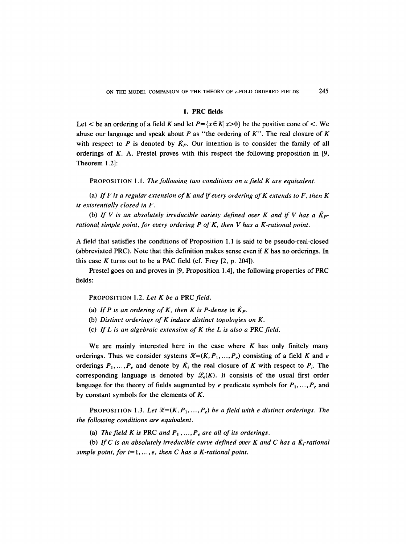# **1. PRC fields**

Let  $\lt$  be an ordering of a field K and let  $P = \{x \in K | x > 0\}$  be the positive cone of  $\lt$ . We abuse our language and speak about P as "the ordering of  $K$ ". The real closure of K with respect to P is denoted by  $\bar{K}_{P}$ . Our intention is to consider the family of all orderings of  $K$ . A. Prestel proves with this respect the following proposition in [9, Theorem 1.2]:

PROPOSITION 1.1. *The following two conditions on afield K are equivalent.* 

(a) *If F is a regular extension of K and if every ordering of K extends to F, then K is existentially closed in F.* 

(b) If V is an absolutely irreducible variety defined over K and if V has a  $\bar{K}_{P}$ *rational simple point, for every ordering P of K, then V has a K-rational point.* 

A field that satisfies the conditions of Proposition I. 1 is said to be pseudo-real-closed (abbreviated PRC). Note that this definition makes sense even if K has no orderings. In this case K turns out to be a PAC field (cf. Frey  $[2, p, 204]$ ).

Prestel goes on and proves in [9, Proposition 1.4], the following properties of PRC fields:

PROPOSITION 1.2. *Let K be a* PRC *field.* 

- (a) If P is an ordering of K, then K is P-dense in  $K_P$ .
- (b) *Distinct orderings of K induce distinct topologies on K.*
- (c) *If L is an algebraic extension of K the L is also a PRC field.*

We are mainly interested here in the case where  $K$  has only finitely many orderings. Thus we consider systems  $\mathcal{H}=(K, P_1, ..., P_e)$  consisting of a field K and e orderings  $P_1, ..., P_e$  and denote by  $\overline{K}_i$  the real closure of K with respect to  $P_i$ . The corresponding language is denoted by  $\mathcal{L}_e(K)$ . It consists of the usual first order language for the theory of fields augmented by e predicate symbols for  $P_1, ..., P_e$  and by constant symbols for the elements of  $K$ .

**PROPOSITION 1.3. Let**  $\mathcal{K}=(K, P_1, ..., P_e)$  **be a field with e distinct orderings. The** *the following conditions are equivalent.* 

(a) *The field K is PRC and P<sub>1</sub>, ..., P<sub>e</sub> are all of its orderings.* 

(b) If C is an absolutely irreducible curve defined over K and C has a  $\bar{K}_r$ -rational *simple point, for*  $i=1, ..., e$ *, then C has a K-rational point.*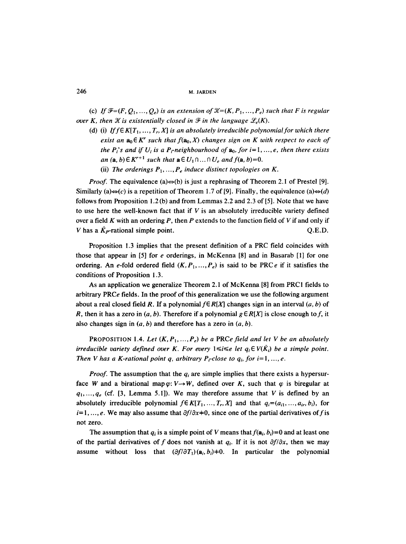(c) If  $\mathcal{F}=(F, Q_1, \ldots, Q_e)$  is an extension of  $\mathcal{K}=(K, P_1, \ldots, P_e)$  such that F is regular *over K, then*  $\mathcal X$  *is existentially closed in*  $\mathcal F$  *in the language*  $\mathcal L_e(K)$ *.* 

- (d) (i) *If f*  $\in$  *K*[ $T_1$ , ...,  $T_r$ ,  $X$ ] is an absolutely irreducible polynomial for which there *exist an*  $a_0 \in K^r$  *such that*  $f(a_0, X)$  *changes sign on* K *with respect to each of the P<sub>i</sub>*'s and if  $U_i$  is a P<sub>i</sub>-neighbourhood of  $a_0$ , for  $i=1, ..., e$ , then there exists *an* (a, b)  $\in K^{r+1}$  *such that*  $\mathbf{a} \in U_1 \cap ... \cap U_e$  *and*  $f(\mathbf{a}, b) = 0$ .
	- (ii) The orderings  $P_1, ..., P_e$  induce distinct topologies on K.

*Proof.* The equivalence (a) $\Leftrightarrow$ (b) is just a rephrasing of Theorem 2.1 of Prestel [9]. Similarly (a) $\Leftrightarrow$ (c) is a repetition of Theorem 1.7 of [9]. Finally, the equivalence (a) $\Leftrightarrow$ (d) follows from Proposition 1.2(b) and from Lemmas 2.2 and 2.3 of [5]. Note that we have to use here the well-known fact that if  $V$  is an absolutely irreducible variety defined over a field K with an ordering P, then P extends to the function field of V if and only if V has a  $\vec{K}_P$ -rational simple point.  $Q.E.D.$ 

Proposition 1.3 implies that the present definition of a PRC field coincides with those that appear in [5] for e orderings, in McKenna [8] and in Basarab [1] for one ordering. An e-fold ordered field  $(K, P_1, ..., P_e)$  is said to be PRC e if it satisfies the conditions of Proposition 1.3.

As an application we generalize Theorem 2.1 of McKenna [8] from PRC1 fields to arbitrary PRC $e$  fields. In the proof of this generalization we use the following argument about a real closed field R. If a polynomial  $f \in R[X]$  changes sign in an interval  $(a, b)$  of R, then it has a zero in  $(a, b)$ . Therefore if a polynomial  $g \in R[X]$  is close enough to f, it also changes sign in  $(a, b)$  and therefore has a zero in  $(a, b)$ .

PROPOSITION 1.4. Let  $(K, P_1, ..., P_e)$  be a PRCe field and let V be an absolutely *irreducible variety defined over K. For every*  $1 \leq i \leq e$  *let*  $q_i \in V(\overline{K_i})$  *be a simple point. Then V has a K-rational point q, arbitrary P<sub>r</sub>-close to*  $q_i$ *, for i=1, ..., e.* 

*Proof.* The assumption that the  $q_i$  are simple implies that there exists a hypersurface W and a birational map  $\varphi: V \rightarrow W$ , defined over K, such that  $\varphi$  is biregular at  $q_1, \ldots, q_e$  (cf. [3, Lemma 5.1]). We may therefore assume that V is defined by an absolutely irreducible polynomial  $f \in K[T_1, ..., T_r, X]$  and that  $q_i = (a_{i1}, ..., a_{ir}, b_i)$ , for  $i=1, \ldots, e$ . We may also assume that  $\partial f/\partial x + 0$ , since one of the partial derivatives of f is not zero.

The assumption that  $q_i$  is a simple point of V means that  $f(\mathbf{a}_i, b_i)=0$  and at least one of the partial derivatives of f does not vanish at  $q_i$ . If it is not  $\partial f/\partial x$ , then we may assume without loss that  $(\partial f/\partial T_1)(a_i, b_i) \neq 0$ . In particular the polynomial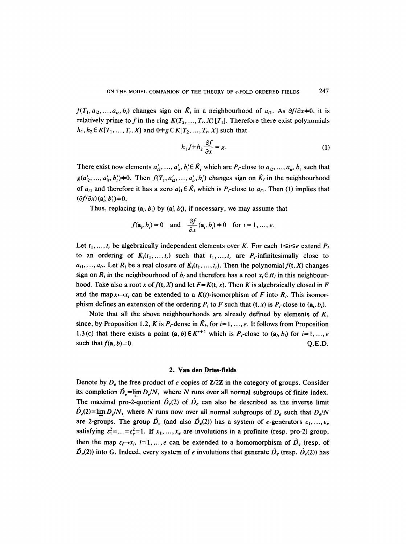$f(T_1, a_{i2}, ..., a_{ir}, b_i)$  changes sign on  $\overline{K_i}$  in a neighbourhood of  $a_{i1}$ . As  $\partial f/\partial x \neq 0$ , it is relatively prime to f in the ring  $K(T_2, ..., T_r, X)[T_1]$ . Therefore there exist polynomials  $h_1, h_2 \in K[T_1, ..., T_r, X]$  and  $0 \neq g \in K[T_2, ..., T_r, X]$  such that

$$
h_1 f + h_2 \frac{\partial f}{\partial x} = g.
$$
 (1)

There exist now elements  $a'_{i2}, ..., a'_{i}, b'_{i} \in \overline{K}_{i}$  which are  $P_{i}$ -close to  $a_{i2}, ..., a_{i}$ ,  $b_{i}$  such that  $g(a'_i_2, ..., a'_i, b'_i) \neq 0$ . Then  $f(T_1, a'_i, ..., a'_i, b'_i)$  changes sign on  $\tilde{K}_i$  in the neighbourhood of  $a_{i1}$  and therefore it has a zero  $a'_{i1} \in \overrightarrow{K}_i$  which is  $P_i$ -close to  $a_{i1}$ . Then (1) implies that  $(\partial f/\partial x)$   $(\mathbf{a}'_i, b'_i) \neq 0$ .

Thus, replacing  $(a_i, b_i)$  by  $(a'_i, b'_i)$ , if necessary, we may assume that

$$
f(\mathbf{a}_i, b_i) = 0
$$
 and  $\frac{\partial f}{\partial x}(\mathbf{a}_i, b_i) \neq 0$  for  $i = 1, ..., e$ .

Let  $t_1, ..., t_r$  be algebraically independent elements over K. For each  $1 \le i \le e$  extend  $P_i$ to an ordering of  $\bar{K}_i(t_1, ..., t_r)$  such that  $t_1, ..., t_r$  are P<sub>r</sub>-infinitesimally close to  $a_{i1},..., a_{ir}$ . Let  $R_i$  be a real closure of  $\tilde{K}_i(t_1,..., t_r)$ . Then the polynomial  $f(t, X)$  changes sign on  $R_i$  in the neighbourhood of  $b_i$  and therefore has a root  $x_i \in R_i$  in this neighbourhood. Take also a root x of  $f(t, X)$  and let  $F = K(t, x)$ . Then K is algebraically closed in F and the map  $x \mapsto x_i$  can be extended to a  $K(t)$ -isomorphism of F into  $R_i$ . This isomorphism defines an extension of the ordering  $P_i$  to F such that  $(t, x)$  is  $P_i$ -close to  $(a_i, b_i)$ .

Note that all the above neighbourhoods are already defined by elements of  $K$ , since, by Proposition 1.2, K is  $P_r$  dense in  $\tilde{K_i}$ , for  $i=1, ..., e$ . It follows from Proposition 1.3(c) that there exists a point  $(a, b) \in K^{r+1}$  which is P<sub>r</sub>-close to  $(a_i, b_i)$  for  $i=1, ..., e$ such that  $f(\mathbf{a}, b) = 0$ . Q.E.D.

# **2. Van den Dries-fields**

Denote by  $D_{\epsilon}$  the free product of e copies of  $\mathbb{Z}/2\mathbb{Z}$  in the category of groups. Consider its completion  $\hat{D}_e$ =lim  $D/N$ , where N runs over all normal subgroups of finite index. The maximal pro-2-quotient  $\hat{D}_e(2)$  of  $\hat{D}_e$  can also be described as the inverse limit  $D_e(2)$ = $\lim_{h \to 0} D_e/N$ , where N runs now over all normal subgroups of  $D_e$  such that  $D_e/N$ are 2-groups. The group  $\hat{D}_e$  (and also  $\hat{D}_e(2)$ ) has a system of e-generators  $\varepsilon_1, ..., \varepsilon_e$ satisfying  $\varepsilon_1^2 = ... = \varepsilon_e^2 = 1$ . If  $x_1, ..., x_e$  are involutions in a profinite (resp. pro-2) group, then the map  $\varepsilon_t \rightarrow x_i$ ,  $i=1,\dots,e$  can be extended to a homomorphism of  $\hat{D}_e$  (resp. of  $\hat{D}_e(2)$ ) into G. Indeed, every system of e involutions that generate  $\hat{D}_e$  (resp.  $\hat{D}_e(2)$ ) has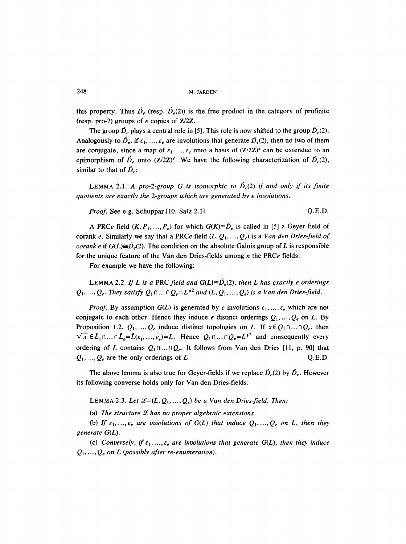this property. Thus  $\hat{D}_e$  (resp.  $\hat{D}_e(2)$ ) is the free product in the category of profinite (resp. pro-2) groups of e copies of *Z/2Z.* 

The group  $\hat{D}_e$  plays a central role in [5]. This role is now shifted to the group  $\hat{D}_e(2)$ . Analogously to  $\hat{D}_e$ , if  $\varepsilon_1, ..., \varepsilon_e$  are involutions that generate  $\hat{D}_e(2)$ , then no two of them are conjugate, since a map of  $\varepsilon_1, \ldots, \varepsilon_r$  onto a basis of  $(\mathbb{Z}/2\mathbb{Z})^e$  can be extended to an epimorphism of  $\hat{D}_e$  onto  $(\mathbf{Z}/2\mathbf{Z})^e$ . We have the following characterization of  $\hat{D}_e(2)$ , similar to that of  $\hat{D}_{e}$ :

**LEMMA 2.1. A pro-2-group G is isomorphic to**  $\hat{D}_e(2)$  **if and only if its finite** *quotients are exactly the 2-groups which are generated by e involutions.* 

*Proof.* See e.g. Schuppar [10, Satz 2.1]. Q.E.D.

A PRCe field  $(K, P_1, ..., P_e)$  for which  $G(K) \cong \hat{D}_e$  is called in [5] a Geyer field of corank e. Similarly we say that a PRCe field  $(L, Q_1, ..., Q_e)$  is a *Van den Dries-field of corank e* if  $G(L) \cong \hat{D}_e(2)$ . The condition on the absolute Galois group of L is responsible for the unique feature of the Van den Dries-fields among  $n$  the PRC $e$  fields.

For example we have the following:

LEMMA 2.2. If L is a PRC field and  $G(L) \cong \hat{D}_e(2)$ , then L has exactly e orderings  $Q_1, ..., Q_e$ . They satisfy  $Q_1 \cap ... \cap Q_e = L^{*2}$  and  $(L, Q_1, ..., Q_e)$  is a Van den Dries-field.

*Proof.* By assumption  $G(L)$  is generated by e involutions  $\varepsilon_1, \ldots, \varepsilon_{\epsilon}$  which are not conjugate to each other. Hence they induce e distinct orderings  $Q_1, \ldots, Q_e$  on L. By Proposition 1.2,  $Q_1, ..., Q_e$  induce distinct topologies on L. If  $x \in Q_1 \cap ... \cap Q_e$ , then  $\sqrt{x} \in L_1 \cap ... \cap L_e = \tilde{L}(\varepsilon_1, ..., \varepsilon_e) = L$ . Hence  $Q_1 \cap ... \cap Q_e = L^{*2}$  and consequently every ordering of L contains  $Q_1 \cap ... \cap Q_e$ . It follows from Van den Dries [11, p. 90] that  $Q_1, \ldots, Q_e$  are the only orderings of L.  $Q.E.D.$ 

The above lemma is also true for Geyer-fields if we replace  $\hat{D}_e(2)$  by  $\hat{D}_e$ . However its following converse holds only for Van den Dries-fields.

LEMMA 2.3. Let  $\mathcal{L}=(L, Q_1, ..., Q_e)$  be a Van den Dries-field. Then:

(a) The structure  $L$  has no proper algebraic extensions.

(b) If  $\varepsilon_1, ..., \varepsilon_e$  are involutions of  $G(L)$  that induce  $Q_1, ..., Q_e$  on L, then they *generate G(L).* 

(c) *Conversely, if*  $\varepsilon_1, ..., \varepsilon_e$  are involutions that generate  $G(L)$ , then they induce  $Q_1, \ldots, Q_e$  on L (possibly after re-enumeration).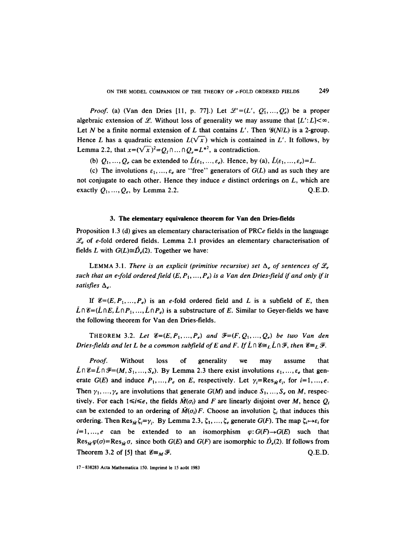*Proof.* (a) (Van den Dries [11, p. 77].) Let  $\mathcal{L}'=(L', O'_1, ..., O'_n)$  be a proper algebraic extension of L. Without loss of generality we may assume that  $[L':L] < \infty$ . Let N be a finite normal extension of L that contains  $L'$ . Then  $\mathcal{G}(N/L)$  is a 2-group. Hence L has a quadratic extension  $L(\sqrt{x})$  which is contained in L'. It follows, by Lemma 2.2, that  $x=(\sqrt{x})^2=Q_1\cap \dots \cap Q_n=L^{*2}$ , a contradiction.

(b)  $Q_1, ..., Q_e$  can be extended to  $\tilde{L}(\varepsilon_1, ..., \varepsilon_e)$ . Hence, by (a),  $\tilde{L}(\varepsilon_1, ..., \varepsilon_e) = L$ .

(c) The involutions  $\varepsilon_1, ..., \varepsilon_e$  are "free" generators of  $G(L)$  and as such they are not conjugate to each other. Hence they induce  $e$  distinct orderings on  $L$ , which are exactly  $Q_1, ..., Q_e$ , by Lemma 2.2. Q.E.D.

### **3. The elementary equivalence theorem for Van den Dries-fields**

Proposition 1.3 (d) gives an elementary characterisation of PRCe fields in the language  $\mathscr{L}_{e}$  of e-fold ordered fields. Lemma 2.1 provides an elementary characterisation of fields L with  $G(L) \cong \hat{D}_e(2)$ . Together we have:

LEMMA 3.1. *There is an explicit (primitive recursive) set*  $\Delta_e$  of sentences of  $\mathcal{L}_e$ such that an e-fold ordered field  $(E, P_1, ..., P_e)$  is a Van den Dries-field if and only if it satisfies  $\Delta_{e}$ .

If  $\mathscr{E}=(E, P_1, ..., P_e)$  is an e-fold ordered field and L is a subfield of E, then  $\tilde{L} \cap \mathscr{E} = (\tilde{L} \cap E, \tilde{L} \cap P_1, ..., \tilde{L} \cap P_e)$  is a substructure of E. Similar to Geyer-fields we have the following theorem for Van den Dries-fields.

THEOREM 3.2. Let  $\mathscr{E}=(E, P_1, ..., P_e)$  and  $\mathscr{F}=(F, Q_1, ..., Q_e)$  be two Van den *Dries-fields and let L be a common subfield of E and F. If*  $\tilde{L} \cap \mathcal{E} \cong_L \tilde{L} \cap \mathcal{F}$ *, then*  $\mathcal{E} \cong_L \mathcal{F}$ *.* 

*Proof.* Without loss of generality we may assume that  $\tilde{L} \cap \mathscr{E} = \tilde{L} \cap \mathscr{F} = (M, S_1, ..., S_e)$ . By Lemma 2.3 there exist involutions  $\varepsilon_1, ..., \varepsilon_e$  that generate G(E) and induce  $P_1, ..., P_e$  on E, respectively. Let  $\gamma_i = \text{Res}_{\tilde{M}} \varepsilon_i$ , for  $i=1, ..., e$ . Then  $\gamma_1, ..., \gamma_e$  are involutions that generate  $G(M)$  and induce  $S_1, ..., S_e$  on M, respectively. For each  $1 \le i \le e$ , the fields  $\tilde{M}(\sigma_i)$  and F are linearly disjoint over M, hence  $Q_i$ can be extended to an ordering of  $\overline{M}(\sigma_i)F$ . Choose an involution  $\zeta_i$  that induces this ordering. Then  $\text{Res}_{\tilde{M}}\zeta_i=\gamma_i$ . By Lemma 2.3,  $\zeta_1, ..., \zeta_e$  generate  $G(F)$ . The map  $\zeta_i\mapsto\varepsilon_i$  for  $i=1,\ldots,e$  can be extended to an isomorphism  $\varphi: G(F) \rightarrow G(E)$  such that  $Res_{\tilde{M}} \varphi(\sigma) = Res_{\tilde{M}} \sigma$ , since both  $G(E)$  and  $G(F)$  are isomorphic to  $\tilde{D}_e(2)$ . If follows from Theorem 3.2 of [5] that  $\mathscr{E}_{\equiv M} \mathscr{F}$ . Q.E.D.

17-838283 Acta Mathematica 150. lmprim6 le 15 aoQt 1983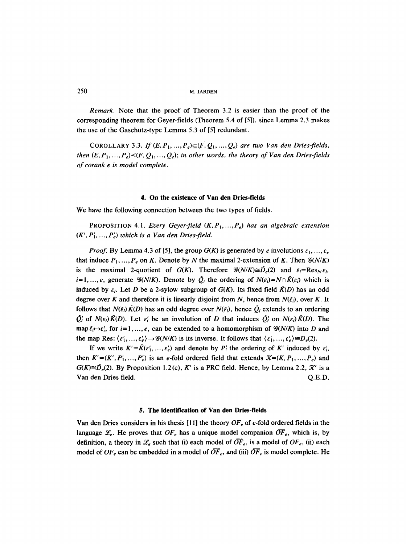*Remark.* Note that the proof of Theorem 3.2 is easier than the proof of the corresponding theorem for Geyer-fields (Theorem 5.4 of [5]), since Lemma 2.3 makes the use of the Gaschütz-type Lemma 5.3 of  $[5]$  redundant.

COROLLARY 3.3. *If*  $(E, P_1, ..., P_e) \subseteq (F, Q_1, ..., Q_e)$  are two Van den Dries-fields, *then*  $(E, P_1, ..., P_e) \le (F, Q_1, ..., Q_e)$ ; in other words, the theory of Van den Dries-fields *of corank e is model complete.* 

#### **4. On the existence of Van den Dries-fields**

We have the following connection between the two types of fields.

PROPOSITION 4.1. *Every Geyer-field*  $(K, P_1, ..., P_e)$  has an algebraic extension  $(K', P'_1, \ldots, P'_e)$  which is a Van den Dries-field.

*Proof.* By Lemma 4.3 of [5], the group  $G(K)$  is generated by e involutions  $\varepsilon_1, \ldots, \varepsilon_e$ that induce  $P_1, ..., P_e$  on K. Denote by N the maximal 2-extension of K. Then  $\mathcal{G}(N/K)$ is the maximal 2-quotient of  $G(K)$ . Therefore  $\mathcal{G}(N/K)\cong \hat{D}_e(2)$  and  $\bar{\varepsilon}_i=\text{Res}_N\varepsilon_i$ ,  $i=1,...,e$ , generate  $\mathcal{G}(N/K)$ . Denote by  $\tilde{Q}_i$  the ordering of  $N(\tilde{\varepsilon}_i)=N\cap\tilde{K}(\varepsilon_i)$  which is induced by  $\varepsilon_i$ . Let D be a 2-sylow subgroup of  $G(K)$ . Its fixed field  $\tilde{K}(D)$  has an odd degree over K and therefore it is linearly disjoint from N, hence from  $N(\tilde{\epsilon}_i)$ , over K. It follows that  $N(\bar{\varepsilon}_i)\tilde{K}(D)$  has an odd degree over  $N(\bar{\varepsilon}_i)$ , hence  $\bar{Q}_i$  extends to an ordering  $\overline{Q}_i'$  of  $N(\varepsilon_i)\overline{K}(D)$ . Let  $\varepsilon'_i$  be an involution of D that induces  $\overline{Q}_i'$  on  $N(\varepsilon_i)\overline{K}(D)$ . The map  $\tilde{\varepsilon}_i \rightarrow \varepsilon'_i$ , for  $i=1,\ldots,e$ , can be extended to a homomorphism of  $\mathcal{G}(N/K)$  into D and the map Res:  $\langle \varepsilon'_1, ..., \varepsilon'_e \rangle \rightarrow \mathcal{G}(N/K)$  is its inverse. It follows that  $\langle \varepsilon'_1, ..., \varepsilon'_e \rangle \cong D_e(2)$ .

If we write  $K' = \tilde{K}(\varepsilon'_1, ..., \varepsilon'_e)$  and denote by  $P'_i$  the ordering of K' induced by  $\varepsilon'_i$ , then  $K'=(K', P'_1, ..., P'_e)$  is an e-fold ordered field that extends  $\mathcal{K}=(K, P_1, ..., P_e)$  and  $G(K) \cong \hat{D}_e(2)$ . By Proposition 1.2(c), K' is a PRC field. Hence, by Lemma 2.2, X' is a Van den Dries field. Q.E.D.

# **5. The identification of Van den Dries-fields**

Van den Dries considers in his thesis [11] the theory *OFe* of e-fold ordered fields in the language  $\mathcal{L}_{e}$ . He proves that  $OF_{e}$  has a unique model companion  $OF_{e}$ , which is, by definition, a theory in  $\mathcal{L}_{e}$  such that (i) each model of  $\overline{OF}_{e}$ , is a model of  $OF_{e}$ , (ii) each model of  $OF_e$  can be embedded in a model of  $\overline{OF}_e$ , and (iii)  $\overline{OF}_e$  is model complete. He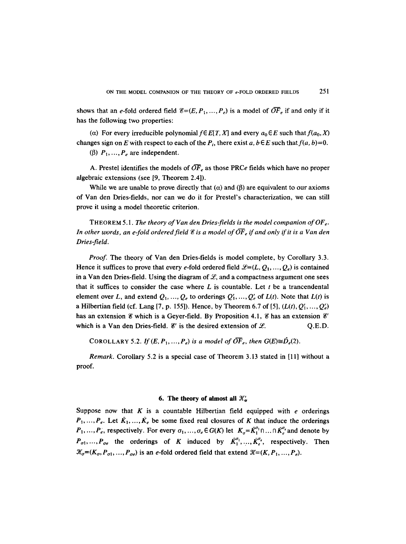shows that an e-fold ordered field  $\mathscr{E}=(E, P_1, ..., P_e)$  is a model of  $\overline{OF}_e$  if and only if it has the following two properties:

(a) For every irreducible polynomial  $f \in E[T, X]$  and every  $a_0 \in E$  such that  $f(a_0, X)$ changes sign on E with respect to each of the  $P_i$ , there exist a,  $b \in E$  such that  $f(a, b)=0$ .

( $\beta$ )  $P_1, ..., P_e$  are independent.

A. Prestel identifies the models of  $\overline{OF}_e$  as those PRCe fields which have no proper algebraic extensions (see [9, Theorem 2.4]).

While we are unable to prove directly that ( $\alpha$ ) and ( $\beta$ ) are equivalent to our axioms of Van den Dries-fields, nor can we do it for Prestel's characterization, we can still prove it using a model theoretic criterion.

THEOREM 5.1. *The theory of Van den Dries-fields is the model companion of OFe. In other words, an e-fold ordered field*  $\mathscr E$  *is a model of*  $\overline{OF}_e$  *if and only if it is a Van den Dries-field.* 

*Proof.* The theory of Van den Dries-fields is model complete, by Corollary 3.3. Hence it suffices to prove that every e-fold ordered field  $\mathcal{L}=(L, Q_1, \ldots, Q_e)$  is contained in a Van den Dries-field. Using the diagram of  $\mathcal{L}$ , and a compactness argument one sees that it suffices to consider the case where  $L$  is countable. Let  $t$  be a trancendental element over L, and extend  $Q_1, ..., Q_r$  to orderings  $Q'_1, ..., Q'_r$  of  $L(t)$ . Note that  $L(t)$  is a Hilbertian field (cf. Lang [7, p. 155]). Hence, by Theorem 6.7 of [5],  $(L(t), Q'_1, ..., Q'_e)$ has an extension  $\mathscr E$  which is a Geyer-field. By Proposition 4.1,  $\mathscr E$  has an extension  $\mathscr E'$ which is a Van den Dries-field.  $\mathscr{C}'$  is the desired extension of  $\mathscr{L}$ . Q.E.D.

COROLLARY 5.2. *If*  $(E, P_1, ..., P_e)$  is a model of  $\overline{OF}_e$ , then  $G(E) \cong \hat{D}_e(2)$ .

*Remark.* Corollary 5.2 is a special case of Theorem 3.13 stated in [11] without a proof.

#### **6. The theory of almost all**  $\mathcal{X}'_{\sigma}$

Suppose now that K is a countable Hilbertian field equipped with  $e$  orderings  $P_1, ..., P_e$ . Let  $\tilde{K}_1, ..., \tilde{K}_e$  be some fixed real closures of K that induce the orderings  $P_1, ..., P_e$ , respectively. For every  $\sigma_1, ..., \sigma_e \in G(K)$  let  $K_{\sigma} = \overline{K}_1^{\sigma_1} \cap ... \cap \overline{K}_e^{\sigma_e}$  and denote by  $P_{\sigma 1},..., P_{\sigma e}$  the orderings of K induced by  $\bar{K}_1^{\sigma_1},...,\bar{K}_e^{\sigma_e}$ , respectively. Then  $\mathcal{K}_{\sigma}=(K_{\sigma}, P_{\sigma1}, ..., P_{\sigma\epsilon})$  is an e-fold ordered field that extend  $\mathcal{K}=(K, P_1, ..., P_{\epsilon})$ .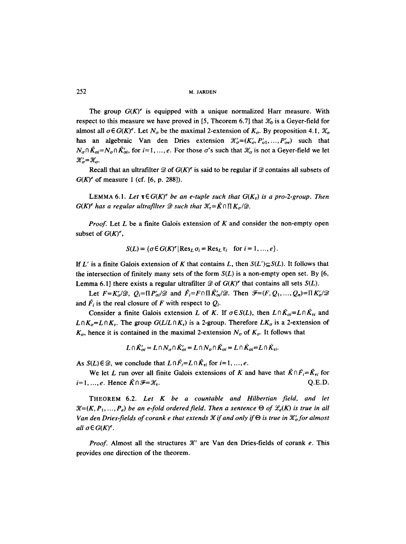The group  $G(K)^e$  is equipped with a unique normalized Harr measure. With respect to this measure we have proved in [5, Theorem 6.7] that  $\mathcal{K}_0$  is a Geyer-field for almost all  $\sigma \in G(K)^e$ . Let  $N_\sigma$  be the maximal 2-extension of  $K_\sigma$ . By proposition 4.1,  $\mathcal{K}_\sigma$ has an algebraic Van den Dries extension  $\mathcal{K}'_{\sigma} = (K'_{\sigma}, P'_{\sigma1}, \ldots, P'_{\sigma\epsilon})$  such that  $N_{\sigma} \cap \tilde{K}_{\sigma i} = N_{\sigma} \cap \tilde{K}_{\sigma i}'$ , for  $i=1, ..., e$ . For those  $\sigma$ 's such that  $\mathcal{K}_{\sigma}$  is not a Geyer-field we let  $\mathcal{K}'_{\sigma} = \mathcal{K}_{\sigma}$ .

Recall that an ultrafilter  $\mathcal D$  of  $G(K)^e$  is said to be regular if  $\mathcal D$  contains all subsets of  $G(K)^e$  of measure 1 (cf. [6, p. 288]).

LEMMA 6.1. Let  $\tau \in G(K)^e$  be an e-tuple such that  $G(K_{\tau})$  is a pro-2-group. Then  $G(K)^e$  has a regular ultrafilter  $\mathscr D$  such that  $\mathscr K_\tau = \tilde{K} \cap \Pi K_{\sigma}/\mathscr D$ .

*Proof.* Let L be a finite Galois extension of K and consider the non-empty open subset of  $G(K)^e$ ,

$$
S(L) = \{ \sigma \in G(K)^e | \operatorname{Res}_L \sigma_i = \operatorname{Res}_L \tau_i \quad \text{for } i = 1, ..., e \}.
$$

If L' is a finite Galois extension of K that contains L, then  $S(L') \subseteq S(L)$ . It follows that the intersection of finitely many sets of the form  $S(L)$  is a non-empty open set. By [6, Lemma 6.1] there exists a regular ultrafilter  $\mathcal{D}$  of  $G(K)^e$  that contains all sets  $S(L)$ .

Let  $F=K'_{\alpha}/\mathcal{D}$ ,  $Q_i=\prod P'_{\alpha i}/\mathcal{D}$  and  $\bar{F}_i=F\cap \prod \bar{K}'_{\alpha i}/\mathcal{D}$ . Then  $\mathcal{F}=(F, Q_1, ..., Q_n)=\prod K'_{\alpha}/\mathcal{D}$ and  $\bar{F}_i$  is the real closure of F with respect to  $Q_i$ .

Consider a finite Galois extension L of K. If  $\sigma \in S(L)$ , then  $L \cap \overline{K}_{\sigma i} = L \cap \overline{K}_{\tau i}$  and  $L \cap K_{\sigma} = L \cap K_{\tau}$ . The group  $G(L/L \cap K_{\tau})$  is a 2-group. Therefore  $LK_{\sigma}$  is a 2-extension of  $K_{\sigma}$ , hence it is contained in the maximal 2-extension  $N_{\sigma}$  of  $K_{\sigma}$ . It follows that

$$
L \cap \tilde{K}_{oi} = L \cap N_{\sigma} \cap \tilde{K}_{oi} = L \cap N_{\sigma} \cap \tilde{K}_{oi} = L \cap \tilde{K}_{oi} = L \cap \tilde{K}_{\tau i}.
$$

As  $S(L) \in \mathcal{D}$ , we conclude that  $L \cap \overline{F_i} = L \cap \overline{K_{ti}}$  for  $i = 1, ..., e$ .

We let L run over all finite Galois extensions of K and have that  $K \cap \overline{F}_i = \overline{K}_{ri}$  for  $i=1, ..., e$ . Hence  $\bar{K} \cap \mathcal{F} = \mathcal{X}_{\tau}$ . Q.E.D.

THEOREM 6.2. *Let K be a countable and Hilbertian field, and let*   $\mathcal{K}=(K, P_1, \ldots, P_r)$  be an e-fold ordered field. Then a sentence  $\Theta$  of  $\mathcal{L}_e(K)$  is true in all Van den Dries-fields of corank e that extends  $\mathscr K$  if and only if  $\Theta$  is true in  $\mathscr K'_{\sigma}$  for almost *all*  $\sigma \in G(K)^e$ .

*Proof.* Almost all the structures  $\mathcal{H}'$  are Van den Dries-fields of corank  $e$ . This provides one direction of the theorem.